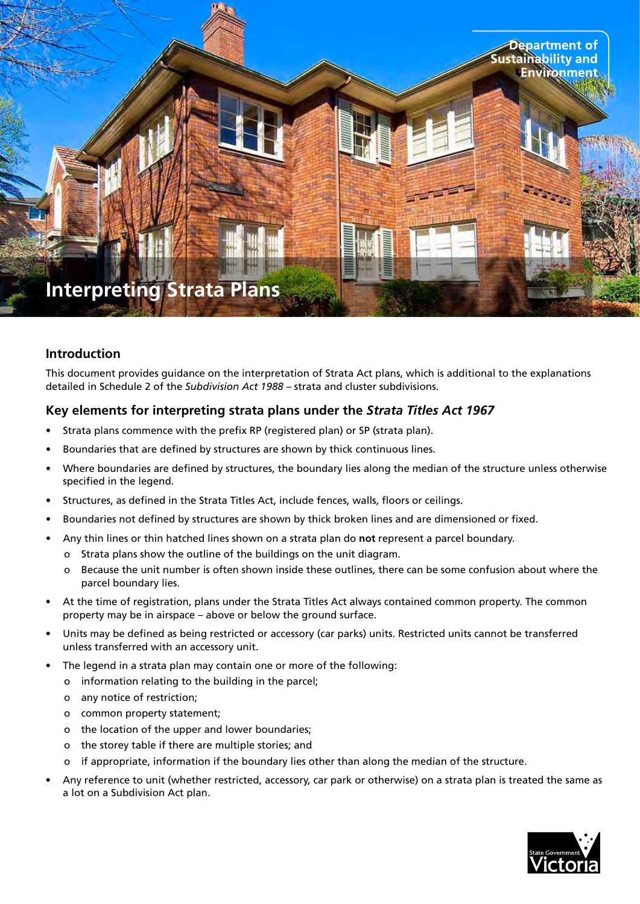

#### **Introduction**

This document provides guidance on the interpretation of Strata Act plans, which is additional to the explanations detailed in Schedule 2 of the *Subdivision Act 1988* – strata and cluster subdivisions.

#### **Key elements for interpreting strata plans under the** *Strata Titles Act 1967*

- Strata plans commence with the prefix RP (registered plan) or SP (strata plan).
- Boundaries that are defined by structures are shown by thick continuous lines.
- Where boundaries are defined by structures, the boundary lies along the median of the structure unless otherwise specified in the legend.
- Structures, as defined in the Strata Titles Act, include fences, walls, floors or ceilings.
- Boundaries not defined by structures are shown by thick broken lines and are dimensioned or fixed.
- • Any thin lines or thin hatched lines shown on a strata plan do **not** represent a parcel boundary.
	- o Strata plans show the outline of the buildings on the unit diagram.
	- o Because the unit number is often shown inside these outlines, there can be some confusion about where the parcel boundary lies.
- At the time of registration, plans under the Strata Titles Act always contained common property. The common property may be in airspace – above or below the ground surface.
- Units may be defined as being restricted or accessory (car parks) units. Restricted units cannot be transferred unless transferred with an accessory unit.
- The legend in a strata plan may contain one or more of the following:
	- o information relating to the building in the parcel;
	- o any notice of restriction;
	- o common property statement;
	- o the location of the upper and lower boundaries;
	- o the storey table if there are multiple stories; and
	- o if appropriate, information if the boundary lies other than along the median of the structure.
- Any reference to unit (whether restricted, accessory, car park or otherwise) on a strata plan is treated the same as a lot on a Subdivision Act plan.

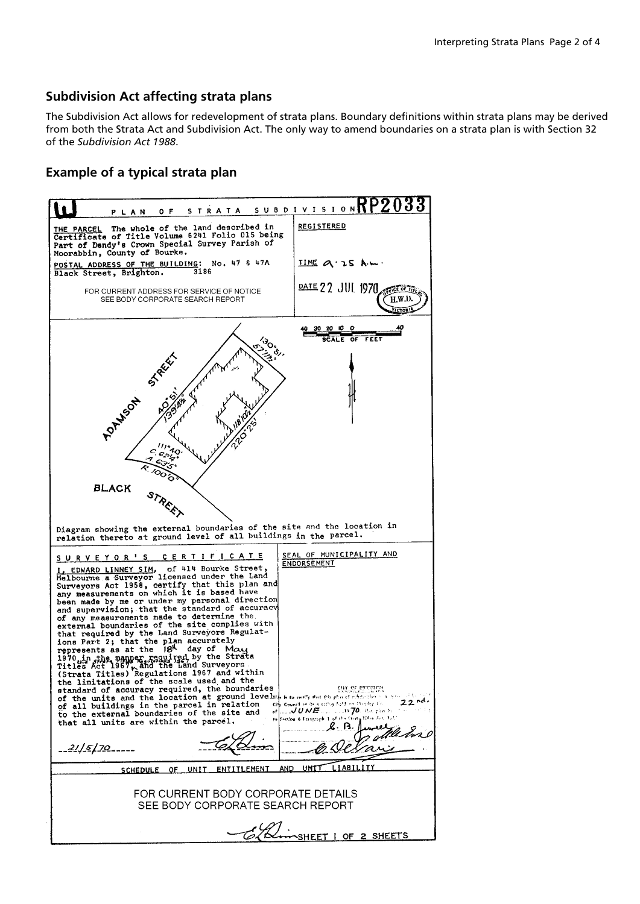#### **Subdivision Act affecting strata plans**

The Subdivision Act allows for redevelopment of strata plans. Boundary definitions within strata plans may be derived from both the Strata Act and Subdivision Act. The only way to amend boundaries on a strata plan is with Section 32 of the *Subdivision Act 1988*.

### **Example of a typical strata plan**

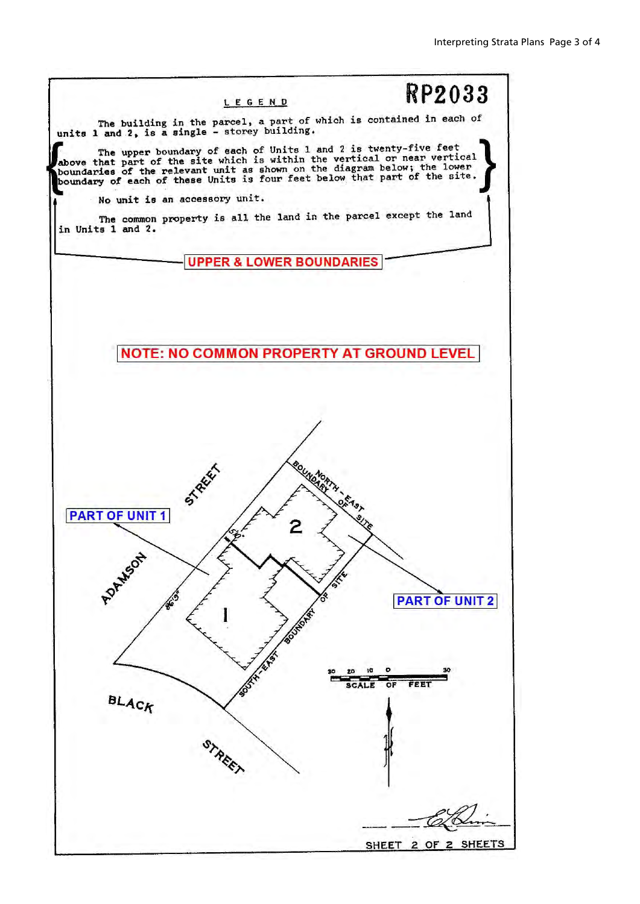